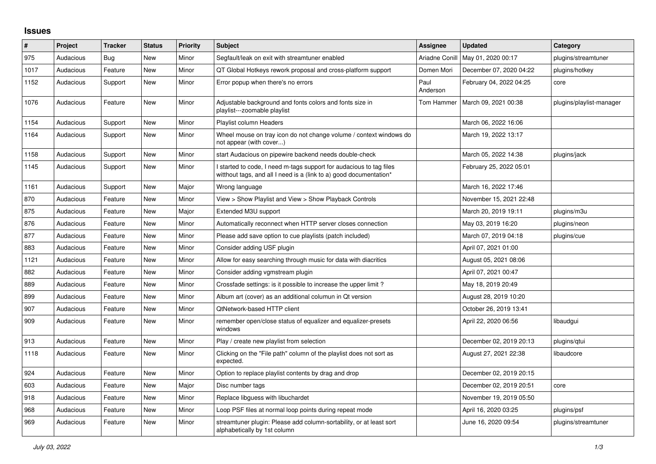## **Issues**

| #    | Project   | <b>Tracker</b> | <b>Status</b> | <b>Priority</b> | <b>Subject</b>                                                                                                                            | <b>Assignee</b>  | <b>Updated</b>          | Category                 |
|------|-----------|----------------|---------------|-----------------|-------------------------------------------------------------------------------------------------------------------------------------------|------------------|-------------------------|--------------------------|
| 975  | Audacious | Bug            | New           | Minor           | Segfault/leak on exit with streamtuner enabled                                                                                            | Ariadne Conill   | May 01, 2020 00:17      | plugins/streamtuner      |
| 1017 | Audacious | Feature        | New           | Minor           | QT Global Hotkeys rework proposal and cross-platform support                                                                              | Domen Mori       | December 07, 2020 04:22 | plugins/hotkey           |
| 1152 | Audacious | Support        | <b>New</b>    | Minor           | Error popup when there's no errors                                                                                                        | Paul<br>Anderson | February 04, 2022 04:25 | core                     |
| 1076 | Audacious | Feature        | <b>New</b>    | Minor           | Adjustable background and fonts colors and fonts size in<br>playlist---zoomable playlist                                                  | Tom Hammer       | March 09, 2021 00:38    | plugins/playlist-manager |
| 1154 | Audacious | Support        | New           | Minor           | Playlist column Headers                                                                                                                   |                  | March 06, 2022 16:06    |                          |
| 1164 | Audacious | Support        | New           | Minor           | Wheel mouse on tray icon do not change volume / context windows do<br>not appear (with cover)                                             |                  | March 19, 2022 13:17    |                          |
| 1158 | Audacious | Support        | New           | Minor           | start Audacious on pipewire backend needs double-check                                                                                    |                  | March 05, 2022 14:38    | plugins/jack             |
| 1145 | Audacious | Support        | <b>New</b>    | Minor           | I started to code, I need m-tags support for audacious to tag files<br>witthout tags, and all I need is a (link to a) good documentation* |                  | February 25, 2022 05:01 |                          |
| 1161 | Audacious | Support        | <b>New</b>    | Major           | Wrong language                                                                                                                            |                  | March 16, 2022 17:46    |                          |
| 870  | Audacious | Feature        | New           | Minor           | View > Show Playlist and View > Show Playback Controls                                                                                    |                  | November 15, 2021 22:48 |                          |
| 875  | Audacious | Feature        | New           | Major           | Extended M3U support                                                                                                                      |                  | March 20, 2019 19:11    | plugins/m3u              |
| 876  | Audacious | Feature        | <b>New</b>    | Minor           | Automatically reconnect when HTTP server closes connection                                                                                |                  | May 03, 2019 16:20      | plugins/neon             |
| 877  | Audacious | Feature        | New           | Minor           | Please add save option to cue playlists (patch included)                                                                                  |                  | March 07, 2019 04:18    | plugins/cue              |
| 883  | Audacious | Feature        | New           | Minor           | Consider adding USF plugin                                                                                                                |                  | April 07, 2021 01:00    |                          |
| 1121 | Audacious | Feature        | <b>New</b>    | Minor           | Allow for easy searching through music for data with diacritics                                                                           |                  | August 05, 2021 08:06   |                          |
| 882  | Audacious | Feature        | <b>New</b>    | Minor           | Consider adding vgmstream plugin                                                                                                          |                  | April 07, 2021 00:47    |                          |
| 889  | Audacious | Feature        | New           | Minor           | Crossfade settings: is it possible to increase the upper limit?                                                                           |                  | May 18, 2019 20:49      |                          |
| 899  | Audacious | Feature        | New           | Minor           | Album art (cover) as an additional columun in Qt version                                                                                  |                  | August 28, 2019 10:20   |                          |
| 907  | Audacious | Feature        | <b>New</b>    | Minor           | QtNetwork-based HTTP client                                                                                                               |                  | October 26, 2019 13:41  |                          |
| 909  | Audacious | Feature        | <b>New</b>    | Minor           | remember open/close status of equalizer and equalizer-presets<br>windows                                                                  |                  | April 22, 2020 06:56    | libaudgui                |
| 913  | Audacious | Feature        | New           | Minor           | Play / create new playlist from selection                                                                                                 |                  | December 02, 2019 20:13 | plugins/qtui             |
| 1118 | Audacious | Feature        | New           | Minor           | Clicking on the "File path" column of the playlist does not sort as<br>expected.                                                          |                  | August 27, 2021 22:38   | libaudcore               |
| 924  | Audacious | Feature        | New           | Minor           | Option to replace playlist contents by drag and drop                                                                                      |                  | December 02, 2019 20:15 |                          |
| 603  | Audacious | Feature        | <b>New</b>    | Major           | Disc number tags                                                                                                                          |                  | December 02, 2019 20:51 | core                     |
| 918  | Audacious | Feature        | <b>New</b>    | Minor           | Replace libguess with libuchardet                                                                                                         |                  | November 19, 2019 05:50 |                          |
| 968  | Audacious | Feature        | New           | Minor           | Loop PSF files at normal loop points during repeat mode                                                                                   |                  | April 16, 2020 03:25    | plugins/psf              |
| 969  | Audacious | Feature        | New           | Minor           | streamtuner plugin: Please add column-sortability, or at least sort<br>alphabetically by 1st column                                       |                  | June 16, 2020 09:54     | plugins/streamtuner      |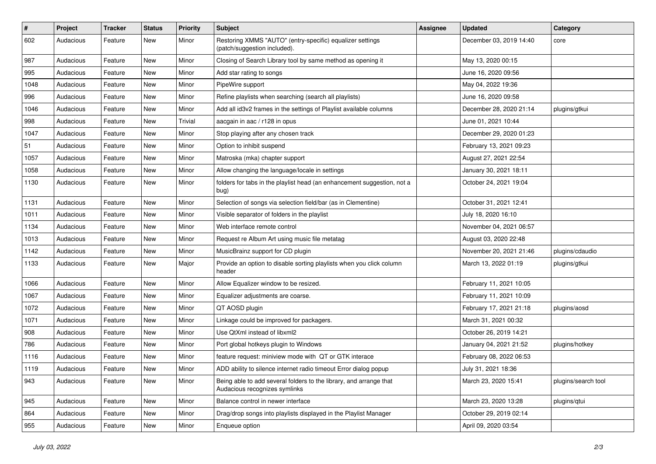| $\#$ | Project   | <b>Tracker</b> | <b>Status</b> | <b>Priority</b> | <b>Subject</b>                                                                                      | <b>Assignee</b> | <b>Updated</b>          | Category            |
|------|-----------|----------------|---------------|-----------------|-----------------------------------------------------------------------------------------------------|-----------------|-------------------------|---------------------|
| 602  | Audacious | Feature        | New           | Minor           | Restoring XMMS "AUTO" (entry-specific) equalizer settings<br>(patch/suggestion included).           |                 | December 03, 2019 14:40 | core                |
| 987  | Audacious | Feature        | New           | Minor           | Closing of Search Library tool by same method as opening it                                         |                 | May 13, 2020 00:15      |                     |
| 995  | Audacious | Feature        | New           | Minor           | Add star rating to songs                                                                            |                 | June 16, 2020 09:56     |                     |
| 1048 | Audacious | Feature        | New           | Minor           | PipeWire support                                                                                    |                 | May 04, 2022 19:36      |                     |
| 996  | Audacious | Feature        | New           | Minor           | Refine playlists when searching (search all playlists)                                              |                 | June 16, 2020 09:58     |                     |
| 1046 | Audacious | Feature        | <b>New</b>    | Minor           | Add all id3v2 frames in the settings of Playlist available columns                                  |                 | December 28, 2020 21:14 | plugins/gtkui       |
| 998  | Audacious | Feature        | New           | Trivial         | aacgain in aac / r128 in opus                                                                       |                 | June 01, 2021 10:44     |                     |
| 1047 | Audacious | Feature        | New           | Minor           | Stop playing after any chosen track                                                                 |                 | December 29, 2020 01:23 |                     |
| 51   | Audacious | Feature        | <b>New</b>    | Minor           | Option to inhibit suspend                                                                           |                 | February 13, 2021 09:23 |                     |
| 1057 | Audacious | Feature        | New           | Minor           | Matroska (mka) chapter support                                                                      |                 | August 27, 2021 22:54   |                     |
| 1058 | Audacious | Feature        | New           | Minor           | Allow changing the language/locale in settings                                                      |                 | January 30, 2021 18:11  |                     |
| 1130 | Audacious | Feature        | New           | Minor           | folders for tabs in the playlist head (an enhancement suggestion, not a<br>bug)                     |                 | October 24, 2021 19:04  |                     |
| 1131 | Audacious | Feature        | <b>New</b>    | Minor           | Selection of songs via selection field/bar (as in Clementine)                                       |                 | October 31, 2021 12:41  |                     |
| 1011 | Audacious | Feature        | New           | Minor           | Visible separator of folders in the playlist                                                        |                 | July 18, 2020 16:10     |                     |
| 1134 | Audacious | Feature        | New           | Minor           | Web interface remote control                                                                        |                 | November 04, 2021 06:57 |                     |
| 1013 | Audacious | Feature        | New           | Minor           | Request re Album Art using music file metatag                                                       |                 | August 03, 2020 22:48   |                     |
| 1142 | Audacious | Feature        | New           | Minor           | MusicBrainz support for CD plugin                                                                   |                 | November 20, 2021 21:46 | plugins/cdaudio     |
| 1133 | Audacious | Feature        | New           | Major           | Provide an option to disable sorting playlists when you click column<br>header                      |                 | March 13, 2022 01:19    | plugins/gtkui       |
| 1066 | Audacious | Feature        | New           | Minor           | Allow Equalizer window to be resized.                                                               |                 | February 11, 2021 10:05 |                     |
| 1067 | Audacious | Feature        | New           | Minor           | Equalizer adjustments are coarse.                                                                   |                 | February 11, 2021 10:09 |                     |
| 1072 | Audacious | Feature        | New           | Minor           | QT AOSD plugin                                                                                      |                 | February 17, 2021 21:18 | plugins/aosd        |
| 1071 | Audacious | Feature        | New           | Minor           | Linkage could be improved for packagers.                                                            |                 | March 31, 2021 00:32    |                     |
| 908  | Audacious | Feature        | New           | Minor           | Use QtXml instead of libxml2                                                                        |                 | October 26, 2019 14:21  |                     |
| 786  | Audacious | Feature        | New           | Minor           | Port global hotkeys plugin to Windows                                                               |                 | January 04, 2021 21:52  | plugins/hotkey      |
| 1116 | Audacious | Feature        | New           | Minor           | feature request: miniview mode with QT or GTK interace                                              |                 | February 08, 2022 06:53 |                     |
| 1119 | Audacious | Feature        | New           | Minor           | ADD ability to silence internet radio timeout Error dialog popup                                    |                 | July 31, 2021 18:36     |                     |
| 943  | Audacious | Feature        | New           | Minor           | Being able to add several folders to the library, and arrange that<br>Audacious recognizes symlinks |                 | March 23, 2020 15:41    | plugins/search tool |
| 945  | Audacious | Feature        | New           | Minor           | Balance control in newer interface                                                                  |                 | March 23, 2020 13:28    | plugins/qtui        |
| 864  | Audacious | Feature        | New           | Minor           | Drag/drop songs into playlists displayed in the Playlist Manager                                    |                 | October 29, 2019 02:14  |                     |
| 955  | Audacious | Feature        | New           | Minor           | Enqueue option                                                                                      |                 | April 09, 2020 03:54    |                     |